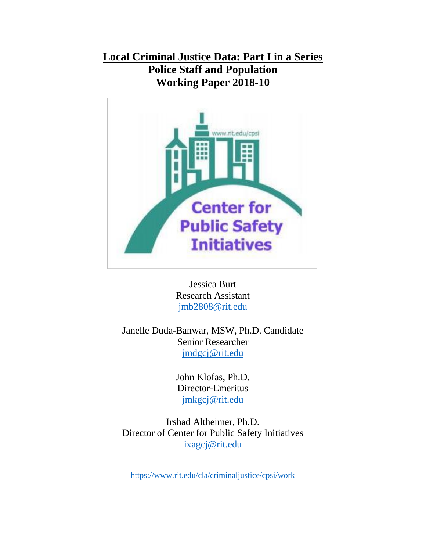# **Local Criminal Justice Data: Part I in a Series Police Staff and Population Working Paper 2018-10**



Jessica Burt Research Assistant [jmb2808@rit.edu](mailto:jmb2808@rit.edu)

Janelle Duda-Banwar, MSW, Ph.D. Candidate Senior Researcher [jmdgcj@rit.edu](mailto:jmdgcj@rit.edu)

> John Klofas, Ph.D. Director-Emeritus [jmkgcj@rit.edu](mailto:jmkgcj@rit.edu)

Irshad Altheimer, Ph.D. Director of Center for Public Safety Initiatives [ixagcj@rit.edu](mailto:ixagcj@rit.edu)

<https://www.rit.edu/cla/criminaljustice/cpsi/work>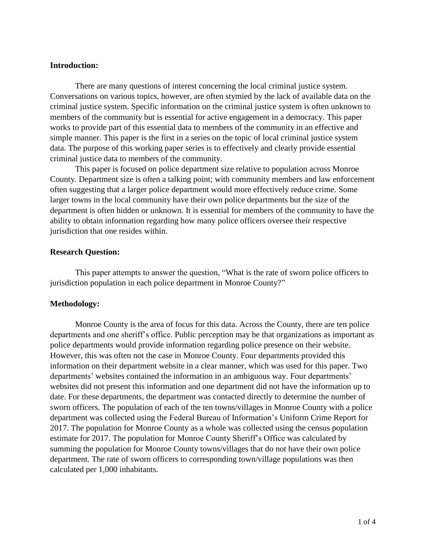## **Introduction:**

There are many questions of interest concerning the local criminal justice system. Conversations on various topics, however, are often stymied by the lack of available data on the criminal justice system. Specific information on the criminal justice system is often unknown to members of the community but is essential for active engagement in a democracy. This paper works to provide part of this essential data to members of the community in an effective and simple manner. This paper is the first in a series on the topic of local criminal justice system data. The purpose of this working paper series is to effectively and clearly provide essential criminal justice data to members of the community.

This paper is focused on police department size relative to population across Monroe County. Department size is often a talking point; with community members and law enforcement often suggesting that a larger police department would more effectively reduce crime. Some larger towns in the local community have their own police departments but the size of the department is often hidden or unknown. It is essential for members of the community to have the ability to obtain information regarding how many police officers oversee their respective jurisdiction that one resides within.

## **Research Question:**

This paper attempts to answer the question, "What is the rate of sworn police officers to jurisdiction population in each police department in Monroe County?"

#### **Methodology:**

Monroe County is the area of focus for this data. Across the County, there are ten police departments and one sheriff's office. Public perception may be that organizations as important as police departments would provide information regarding police presence on their website. However, this was often not the case in Monroe County. Four departments provided this information on their department website in a clear manner, which was used for this paper. Two departments' websites contained the information in an ambiguous way. Four departments' websites did not present this information and one department did not have the information up to date. For these departments, the department was contacted directly to determine the number of sworn officers. The population of each of the ten towns/villages in Monroe County with a police department was collected using the Federal Bureau of Information's Uniform Crime Report for 2017. The population for Monroe County as a whole was collected using the census population estimate for 2017. The population for Monroe County Sheriff's Office was calculated by summing the population for Monroe County towns/villages that do not have their own police department. The rate of sworn officers to corresponding town/village populations was then calculated per 1,000 inhabitants.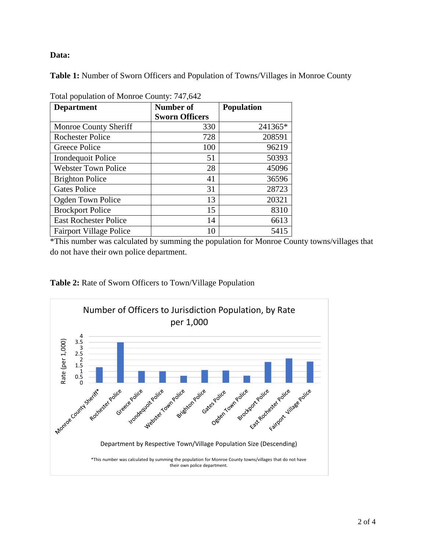## **Data:**

**Table 1:** Number of Sworn Officers and Population of Towns/Villages in Monroe County

| <b>Department</b>              | Number of<br><b>Sworn Officers</b> | <b>Population</b> |
|--------------------------------|------------------------------------|-------------------|
| Monroe County Sheriff          | 330                                | 241365*           |
| <b>Rochester Police</b>        | 728                                | 208591            |
| Greece Police                  | 100                                | 96219             |
| Irondequoit Police             | 51                                 | 50393             |
| <b>Webster Town Police</b>     | 28                                 | 45096             |
| <b>Brighton Police</b>         | 41                                 | 36596             |
| <b>Gates Police</b>            | 31                                 | 28723             |
| Ogden Town Police              | 13                                 | 20321             |
| <b>Brockport Police</b>        | 15                                 | 8310              |
| <b>East Rochester Police</b>   | 14                                 | 6613              |
| <b>Fairport Village Police</b> | 10                                 | 5415              |

Total population of Monroe County: 747,642

\*This number was calculated by summing the population for Monroe County towns/villages that do not have their own police department.



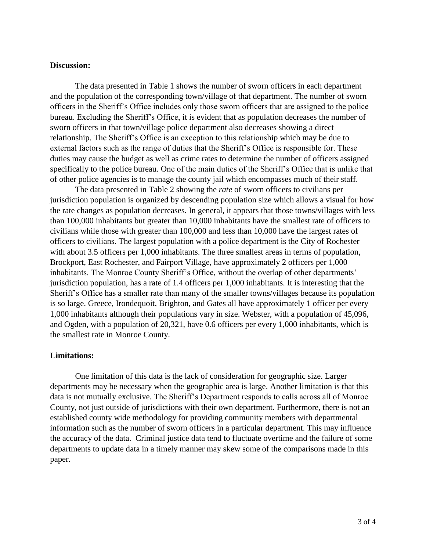## **Discussion:**

The data presented in Table 1 shows the number of sworn officers in each department and the population of the corresponding town/village of that department. The number of sworn officers in the Sheriff's Office includes only those sworn officers that are assigned to the police bureau. Excluding the Sheriff's Office, it is evident that as population decreases the number of sworn officers in that town/village police department also decreases showing a direct relationship. The Sheriff's Office is an exception to this relationship which may be due to external factors such as the range of duties that the Sheriff's Office is responsible for. These duties may cause the budget as well as crime rates to determine the number of officers assigned specifically to the police bureau. One of the main duties of the Sheriff's Office that is unlike that of other police agencies is to manage the county jail which encompasses much of their staff.

The data presented in Table 2 showing the *rate* of sworn officers to civilians per jurisdiction population is organized by descending population size which allows a visual for how the rate changes as population decreases. In general, it appears that those towns/villages with less than 100,000 inhabitants but greater than 10,000 inhabitants have the smallest rate of officers to civilians while those with greater than 100,000 and less than 10,000 have the largest rates of officers to civilians. The largest population with a police department is the City of Rochester with about 3.5 officers per 1,000 inhabitants. The three smallest areas in terms of population, Brockport, East Rochester, and Fairport Village, have approximately 2 officers per 1,000 inhabitants. The Monroe County Sheriff's Office, without the overlap of other departments' jurisdiction population, has a rate of 1.4 officers per 1,000 inhabitants. It is interesting that the Sheriff's Office has a smaller rate than many of the smaller towns/villages because its population is so large. Greece, Irondequoit, Brighton, and Gates all have approximately 1 officer per every 1,000 inhabitants although their populations vary in size. Webster, with a population of 45,096, and Ogden, with a population of 20,321, have 0.6 officers per every 1,000 inhabitants, which is the smallest rate in Monroe County.

## **Limitations:**

One limitation of this data is the lack of consideration for geographic size. Larger departments may be necessary when the geographic area is large. Another limitation is that this data is not mutually exclusive. The Sheriff's Department responds to calls across all of Monroe County, not just outside of jurisdictions with their own department. Furthermore, there is not an established county wide methodology for providing community members with departmental information such as the number of sworn officers in a particular department. This may influence the accuracy of the data. Criminal justice data tend to fluctuate overtime and the failure of some departments to update data in a timely manner may skew some of the comparisons made in this paper.